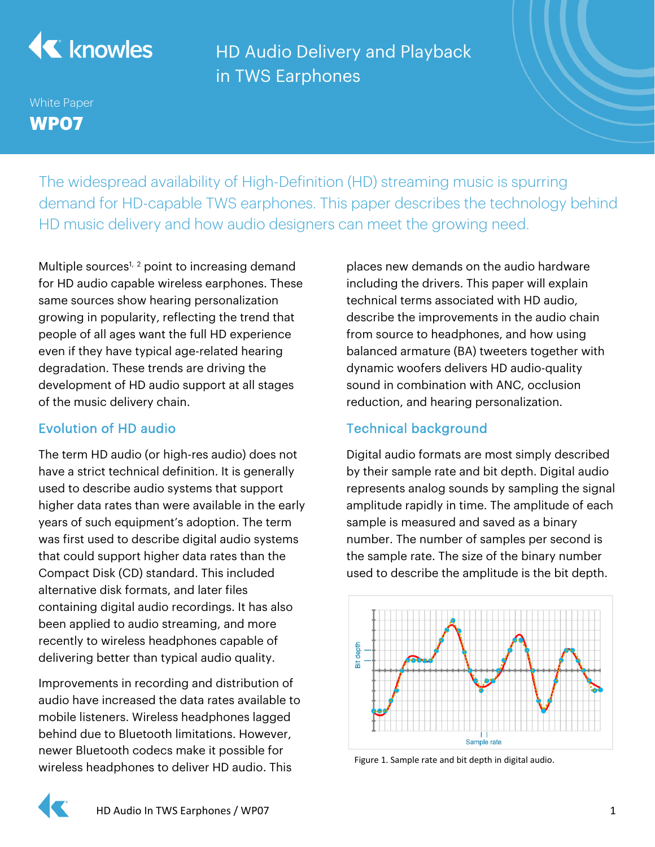

HD Audio Delivery and Playback in TWS Earphones

# White Paper **WP07**

The widespread availability of High-Definition (HD) streaming music is spurring demand for HD-capable TWS earphones. This paper describes the technology behind HD music delivery and how audio designers can meet the growing need.

Multiple sources<sup>1, 2</sup> point to increasing demand for HD audio capable wireless earphones. These same sources show hearing personalization growing in popularity, reflecting the trend that people of all ages want the full HD experience even if they have typical age-related hearing degradation. These trends are driving the development of HD audio support at all stages of the music delivery chain.

## Evolution of HD audio

The term HD audio (or high-res audio) does not have a strict technical definition. It is generally used to describe audio systems that support higher data rates than were available in the early years of such equipment's adoption. The term was first used to describe digital audio systems that could support higher data rates than the Compact Disk (CD) standard. This included alternative disk formats, and later files containing digital audio recordings. It has also been applied to audio streaming, and more recently to wireless headphones capable of delivering better than typical audio quality.

Improvements in recording and distribution of audio have increased the data rates available to mobile listeners. Wireless headphones lagged behind due to Bluetooth limitations. However, newer Bluetooth codecs make it possible for wireless headphones to deliver HD audio. This

places new demands on the audio hardware including the drivers. This paper will explain technical terms associated with HD audio, describe the improvements in the audio chain from source to headphones, and how using balanced armature (BA) tweeters together with dynamic woofers delivers HD audio-quality sound in combination with ANC, occlusion reduction, and hearing personalization.

# Technical background

Digital audio formats are most simply described by their sample rate and bit depth. Digital audio represents analog sounds by sampling the signal amplitude rapidly in time. The amplitude of each sample is measured and saved as a binary number. The number of samples per second is the sample rate. The size of the binary number used to describe the amplitude is the bit depth.



Figure 1. Sample rate and bit depth in digital audio.

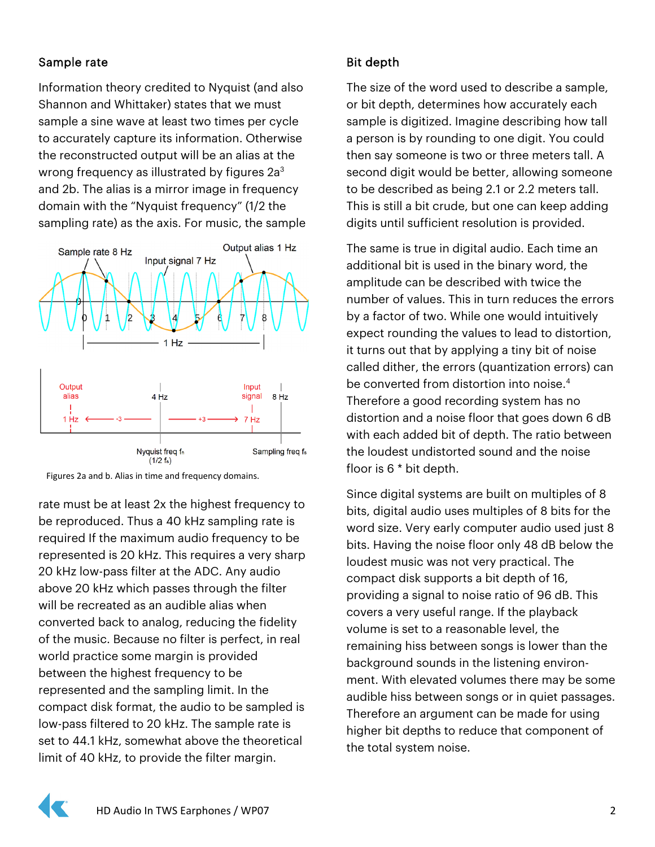## Sample rate

Information theory credited to Nyquist (and also Shannon and Whittaker) states that we must sample a sine wave at least two times per cycle to accurately capture its information. Otherwise the reconstructed output will be an alias at the wrong frequency as illustrated by figures 2a<sup>3</sup> and 2b. The alias is a mirror image in frequency domain with the "Nyquist frequency" (1/2 the sampling rate) as the axis. For music, the sample



Figures 2a and b. Alias in time and frequency domains.

rate must be at least 2x the highest frequency to be reproduced. Thus a 40 kHz sampling rate is required If the maximum audio frequency to be represented is 20 kHz. This requires a very sharp 20 kHz low-pass filter at the ADC. Any audio above 20 kHz which passes through the filter will be recreated as an audible alias when converted back to analog, reducing the fidelity of the music. Because no filter is perfect, in real world practice some margin is provided between the highest frequency to be represented and the sampling limit. In the compact disk format, the audio to be sampled is low-pass filtered to 20 kHz. The sample rate is set to 44.1 kHz, somewhat above the theoretical limit of 40 kHz, to provide the filter margin.

## Bit depth

The size of the word used to describe a sample, or bit depth, determines how accurately each sample is digitized. Imagine describing how tall a person is by rounding to one digit. You could then say someone is two or three meters tall. A second digit would be better, allowing someone to be described as being 2.1 or 2.2 meters tall. This is still a bit crude, but one can keep adding digits until sufficient resolution is provided.

The same is true in digital audio. Each time an additional bit is used in the binary word, the amplitude can be described with twice the number of values. This in turn reduces the errors by a factor of two. While one would intuitively expect rounding the values to lead to distortion, it turns out that by applying a tiny bit of noise called dither, the errors (quantization errors) can be converted from distortion into noise.<sup>4</sup> Therefore a good recording system has no distortion and a noise floor that goes down 6 dB with each added bit of depth. The ratio between the loudest undistorted sound and the noise floor is 6 \* bit depth.

Since digital systems are built on multiples of 8 bits, digital audio uses multiples of 8 bits for the word size. Very early computer audio used just 8 bits. Having the noise floor only 48 dB below the loudest music was not very practical. The compact disk supports a bit depth of 16, providing a signal to noise ratio of 96 dB. This covers a very useful range. If the playback volume is set to a reasonable level, the remaining hiss between songs is lower than the background sounds in the listening environment. With elevated volumes there may be some audible hiss between songs or in quiet passages. Therefore an argument can be made for using higher bit depths to reduce that component of the total system noise.

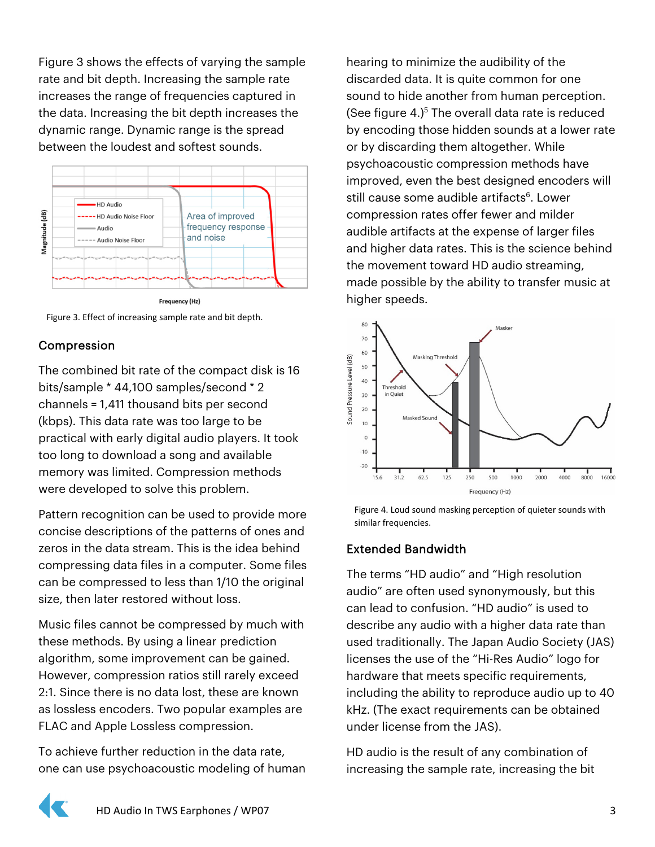Figure 3 shows the effects of varying the sample rate and bit depth. Increasing the sample rate increases the range of frequencies captured in the data. Increasing the bit depth increases the dynamic range. Dynamic range is the spread between the loudest and softest sounds.



Figure 3. Effect of increasing sample rate and bit depth.

## Compression

The combined bit rate of the compact disk is 16 bits/sample \* 44,100 samples/second \* 2 channels = 1,411 thousand bits per second (kbps). This data rate was too large to be practical with early digital audio players. It took too long to download a song and available memory was limited. Compression methods were developed to solve this problem.

Pattern recognition can be used to provide more concise descriptions of the patterns of ones and zeros in the data stream. This is the idea behind compressing data files in a computer. Some files can be compressed to less than 1/10 the original size, then later restored without loss.

Music files cannot be compressed by much with these methods. By using a linear prediction algorithm, some improvement can be gained. However, compression ratios still rarely exceed 2:1. Since there is no data lost, these are known as lossless encoders. Two popular examples are FLAC and Apple Lossless compression.

To achieve further reduction in the data rate, one can use psychoacoustic modeling of human hearing to minimize the audibility of the discarded data. It is quite common for one sound to hide another from human perception. (See figure  $4.$ )<sup>5</sup> The overall data rate is reduced by encoding those hidden sounds at a lower rate or by discarding them altogether. While psychoacoustic compression methods have improved, even the best designed encoders will still cause some audible artifacts<sup>6</sup>. Lower compression rates offer fewer and milder audible artifacts at the expense of larger files and higher data rates. This is the science behind the movement toward HD audio streaming, made possible by the ability to transfer music at higher speeds.



Figure 4. Loud sound masking perception of quieter sounds with similar frequencies.

#### Extended Bandwidth

The terms "HD audio" and "High resolution audio" are often used synonymously, but this can lead to confusion. "HD audio" is used to describe any audio with a higher data rate than used traditionally. The Japan Audio Society (JAS) licenses the use of the "Hi-Res Audio" logo for hardware that meets specific requirements, including the ability to reproduce audio up to 40 kHz. (The exact requirements can be obtained under license from the JAS).

HD audio is the result of any combination of increasing the sample rate, increasing the bit

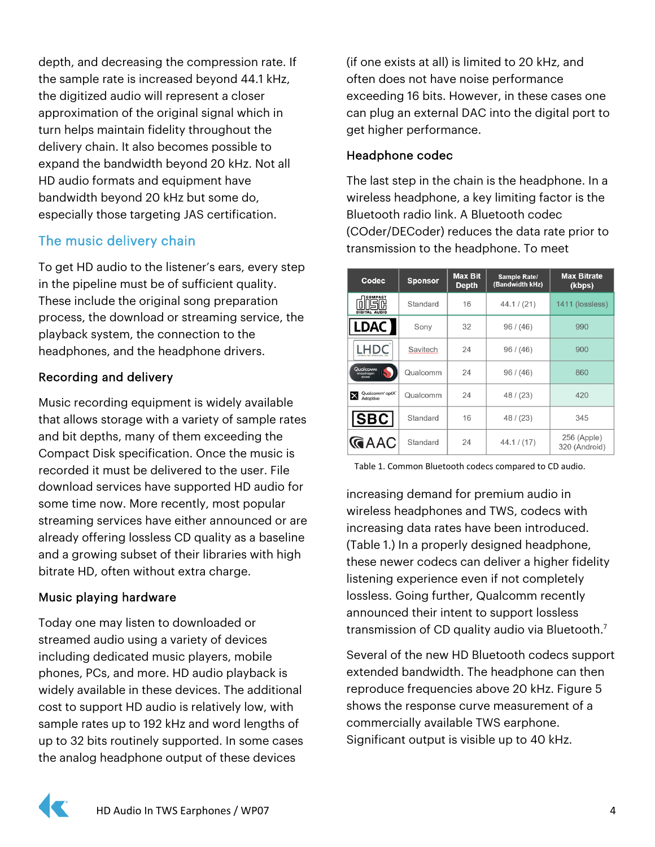depth, and decreasing the compression rate. If the sample rate is increased beyond 44.1 kHz, the digitized audio will represent a closer approximation of the original signal which in turn helps maintain fidelity throughout the delivery chain. It also becomes possible to expand the bandwidth beyond 20 kHz. Not all HD audio formats and equipment have bandwidth beyond 20 kHz but some do, especially those targeting JAS certification.

## The music delivery chain

To get HD audio to the listener's ears, every step in the pipeline must be of sufficient quality. These include the original song preparation process, the download or streaming service, the playback system, the connection to the headphones, and the headphone drivers.

## Recording and delivery

Music recording equipment is widely available that allows storage with a variety of sample rates and bit depths, many of them exceeding the Compact Disk specification. Once the music is recorded it must be delivered to the user. File download services have supported HD audio for some time now. More recently, most popular streaming services have either announced or are already offering lossless CD quality as a baseline and a growing subset of their libraries with high bitrate HD, often without extra charge.

#### Music playing hardware

Today one may listen to downloaded or streamed audio using a variety of devices including dedicated music players, mobile phones, PCs, and more. HD audio playback is widely available in these devices. The additional cost to support HD audio is relatively low, with sample rates up to 192 kHz and word lengths of up to 32 bits routinely supported. In some cases the analog headphone output of these devices

(if one exists at all) is limited to 20 kHz, and often does not have noise performance exceeding 16 bits. However, in these cases one can plug an external DAC into the digital port to get higher performance.

## Headphone codec

The last step in the chain is the headphone. In a wireless headphone, a key limiting factor is the Bluetooth radio link. A Bluetooth codec (COder/DECoder) reduces the data rate prior to transmission to the headphone. To meet

| Codec                            | <b>Sponsor</b> | <b>Max Bit</b><br><b>Depth</b> | Sample Rate/<br>(Bandwidth kHz) | <b>Max Bitrate</b><br>(kbps) |
|----------------------------------|----------------|--------------------------------|---------------------------------|------------------------------|
| <b>COMPACT</b><br>DIGITAL AUDIO  | Standard       | 16                             | 44.1 / (21)                     | 1411 (lossless)              |
| $\vert$ LDAC $\vert$             | Sony           | 32                             | 96 / (46)                       | 990                          |
|                                  | Savitech       | 24                             | 96 / (46)                       | 900                          |
| Qualcoww<br>snapdragon<br>SOUND  | Qualcomm       | 24                             | 96 / (46)                       | 860                          |
| Qualcomm' aptX"<br>X<br>Adaptive | Qualcomm       | 24                             | 48 / (23)                       | 420                          |
| $ {\tt SBC} $                    | Standard       | 16                             | 48 / (23)                       | 345                          |
| <b>GAAC</b>                      | Standard       | 24                             | 44.1 / (17)                     | 256 (Apple)<br>320 (Android) |

Table 1. Common Bluetooth codecs compared to CD audio.

increasing demand for premium audio in wireless headphones and TWS, codecs with increasing data rates have been introduced. (Table 1.) In a properly designed headphone, these newer codecs can deliver a higher fidelity listening experience even if not completely lossless. Going further, Qualcomm recently announced their intent to support lossless transmission of CD quality audio via Bluetooth.7

Several of the new HD Bluetooth codecs support extended bandwidth. The headphone can then reproduce frequencies above 20 kHz. Figure 5 shows the response curve measurement of a commercially available TWS earphone. Significant output is visible up to 40 kHz.

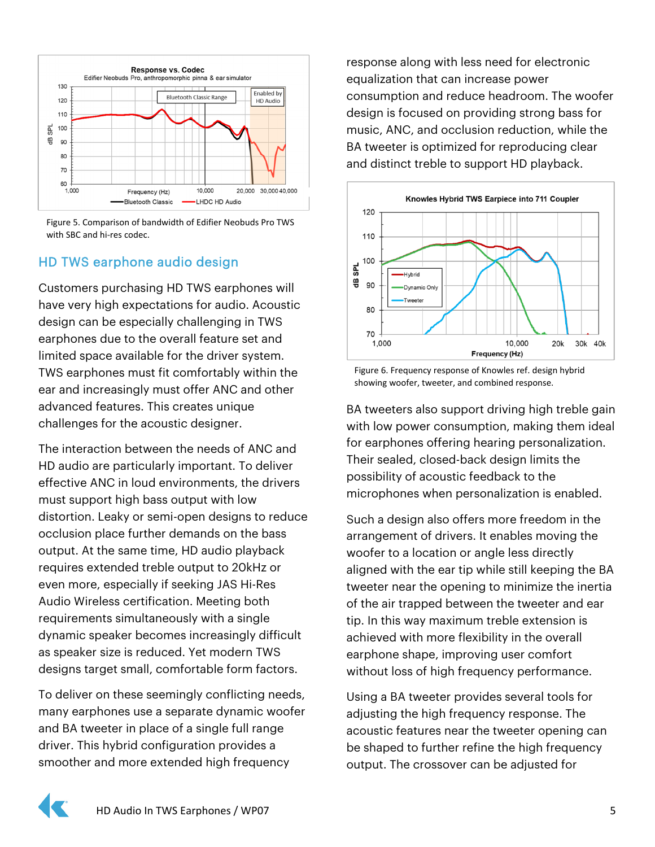

Figure 5. Comparison of bandwidth of Edifier Neobuds Pro TWS with SBC and hi-res codec.

## HD TWS earphone audio design

Customers purchasing HD TWS earphones will have very high expectations for audio. Acoustic design can be especially challenging in TWS earphones due to the overall feature set and limited space available for the driver system. TWS earphones must fit comfortably within the ear and increasingly must offer ANC and other advanced features. This creates unique challenges for the acoustic designer.

The interaction between the needs of ANC and HD audio are particularly important. To deliver effective ANC in loud environments, the drivers must support high bass output with low distortion. Leaky or semi-open designs to reduce occlusion place further demands on the bass output. At the same time, HD audio playback requires extended treble output to 20kHz or even more, especially if seeking JAS Hi-Res Audio Wireless certification. Meeting both requirements simultaneously with a single dynamic speaker becomes increasingly difficult as speaker size is reduced. Yet modern TWS designs target small, comfortable form factors.

To deliver on these seemingly conflicting needs, many earphones use a separate dynamic woofer and BA tweeter in place of a single full range driver. This hybrid configuration provides a smoother and more extended high frequency

response along with less need for electronic equalization that can increase power consumption and reduce headroom. The woofer design is focused on providing strong bass for music, ANC, and occlusion reduction, while the BA tweeter is optimized for reproducing clear and distinct treble to support HD playback.



Figure 6. Frequency response of Knowles ref. design hybrid showing woofer, tweeter, and combined response.

BA tweeters also support driving high treble gain with low power consumption, making them ideal for earphones offering hearing personalization. Their sealed, closed-back design limits the possibility of acoustic feedback to the microphones when personalization is enabled.

Such a design also offers more freedom in the arrangement of drivers. It enables moving the woofer to a location or angle less directly aligned with the ear tip while still keeping the BA tweeter near the opening to minimize the inertia of the air trapped between the tweeter and ear tip. In this way maximum treble extension is achieved with more flexibility in the overall earphone shape, improving user comfort without loss of high frequency performance.

Using a BA tweeter provides several tools for adjusting the high frequency response. The acoustic features near the tweeter opening can be shaped to further refine the high frequency output. The crossover can be adjusted for